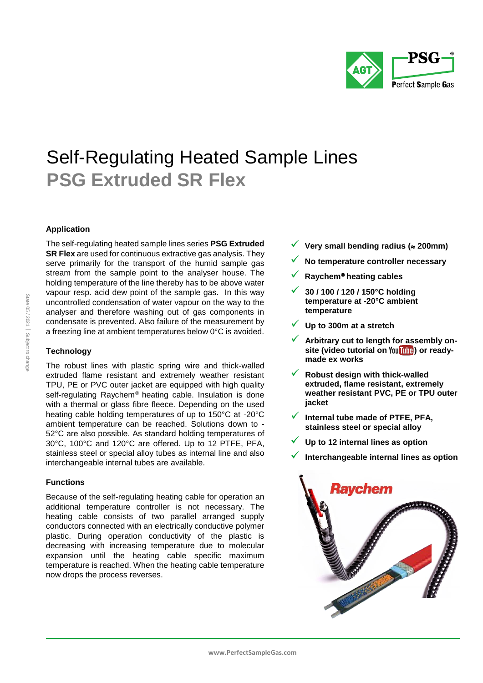

# Self-Regulating Heated Sample Lines **PSG Extruded SR Flex**

### **Application**

The self-regulating heated sample lines series **PSG Extruded SR Flex** are used for continuous extractive gas analysis. They serve primarily for the transport of the humid sample gas stream from the sample point to the analyser house. The holding temperature of the line thereby has to be above water vapour resp. acid dew point of the sample gas. In this way uncontrolled condensation of water vapour on the way to the analyser and therefore washing out of gas components in condensate is prevented. Also failure of the measurement by a freezing line at ambient temperatures below 0°C is avoided.

#### **Technology**

The robust lines with plastic spring wire and thick-walled extruded flame resistant and extremely weather resistant TPU, PE or PVC outer jacket are equipped with high quality self-regulating Raychem<sup>®</sup> heating cable. Insulation is done with a thermal or glass fibre fleece. Depending on the used heating cable holding temperatures of up to 150°C at -20°C ambient temperature can be reached. Solutions down to - 52°C are also possible. As standard holding temperatures of 30°C, 100°C and 120°C are offered. Up to 12 PTFE, PFA, stainless steel or special alloy tubes as internal line and also interchangeable internal tubes are available.

#### **Functions**

Because of the self-regulating heating cable for operation an additional temperature controller is not necessary. The heating cable consists of two parallel arranged supply conductors connected with an electrically conductive polymer plastic. During operation conductivity of the plastic is decreasing with increasing temperature due to molecular expansion until the heating cable specific maximum temperature is reached. When the heating cable temperature now drops the process reverses.

- **Very small bending radius ( 200mm)**
- **No temperature controller necessary**
- **Raychem heating cables**
- **30 / 100 / 120 / 150°C holding temperature at -20°C ambient temperature**
- **Up to 300m at a stretch**
- **Arbitrary cut to length for assembly on-**site(video tutorial on You **[108]**) or ready**made ex works**
- **Robust design with thick-walled extruded, flame resistant, extremely weather resistant PVC, PE or TPU outer jacket**
- **Internal tube made of PTFE, PFA, stainless steel or special alloy**
- **Up to 12 internal lines as option**
- **Interchangeable internal lines as option**